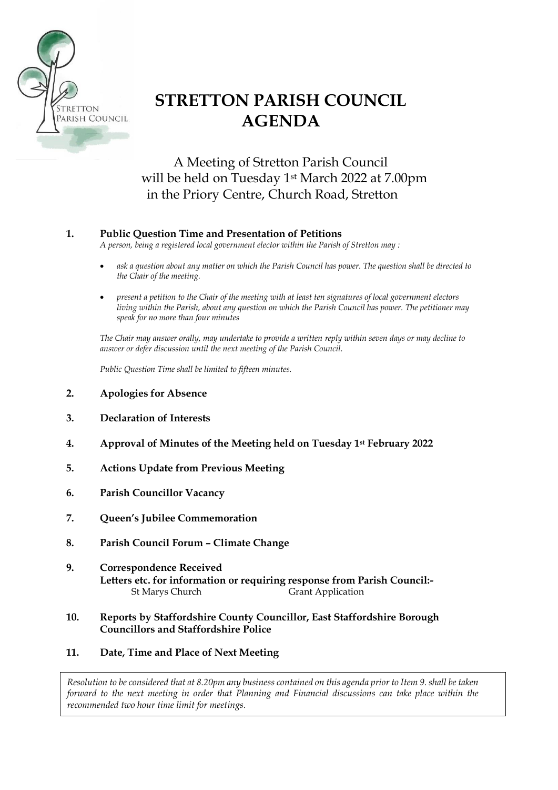

# **STRETTON PARISH COUNCIL AGENDA**

A Meeting of Stretton Parish Council will be held on Tuesday 1st March 2022 at 7.00pm in the Priory Centre, Church Road, Stretton

### **1. Public Question Time and Presentation of Petitions**

*A person, being a registered local government elector within the Parish of Stretton may :*

- *ask a question about any matter on which the Parish Council has power. The question shall be directed to the Chair of the meeting.*
- *present a petition to the Chair of the meeting with at least ten signatures of local government electors living within the Parish, about any question on which the Parish Council has power. The petitioner may speak for no more than four minutes*

*The Chair may answer orally, may undertake to provide a written reply within seven days or may decline to answer or defer discussion until the next meeting of the Parish Council.*

*Public Question Time shall be limited to fifteen minutes.*

- **2. Apologies for Absence**
- **3. Declaration of Interests**
- **4. Approval of Minutes of the Meeting held on Tuesday 1st February 2022**
- **5. Actions Update from Previous Meeting**
- **6. Parish Councillor Vacancy**
- **7. Queen's Jubilee Commemoration**
- **8. Parish Council Forum – Climate Change**
- **9. Correspondence Received Letters etc. for information or requiring response from Parish Council:-** St Marys Church Grant Application

#### **10. Reports by Staffordshire County Councillor, East Staffordshire Borough Councillors and Staffordshire Police**

**11. Date, Time and Place of Next Meeting**

*Resolution to be considered that at 8.20pm any business contained on this agenda prior to Item 9. shall be taken forward to the next meeting in order that Planning and Financial discussions can take place within the recommended two hour time limit for meetings.*